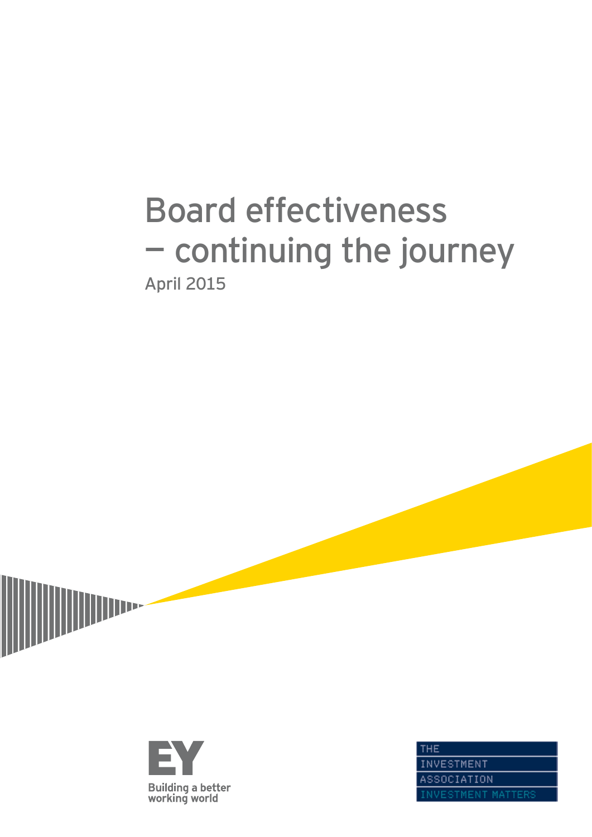# Board effectiveness — continuing the journey April 2015



**IIIII** 

THE **INVESTMENT** ASSOCIATION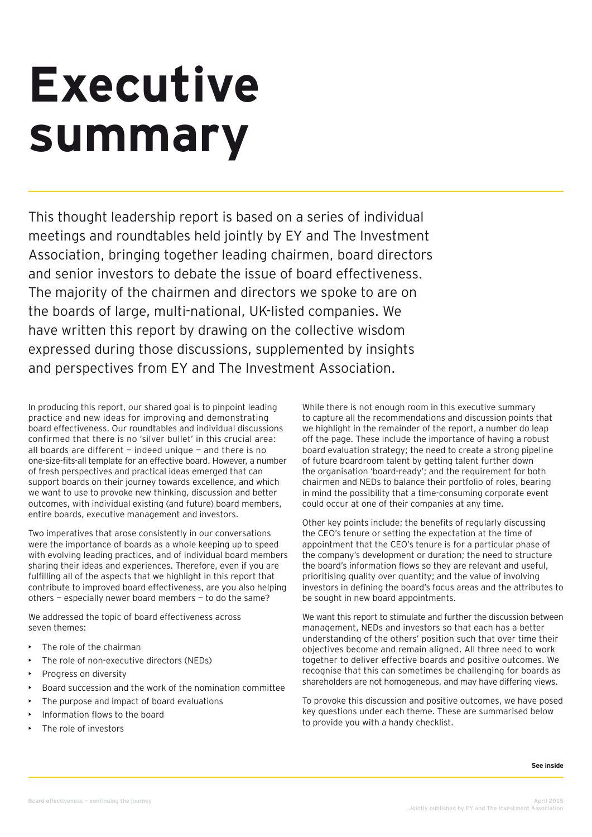# **Executive summary**

This thought leadership report is based on a series of individual meetings and roundtables held jointly by EY and The Investment Association, bringing together leading chairmen, board directors and senior investors to debate the issue of board effectiveness. The majority of the chairmen and directors we spoke to are on the boards of large, multi-national, UK-listed companies. We have written this report by drawing on the collective wisdom expressed during those discussions, supplemented by insights and perspectives from EY and The Investment Association.

In producing this report, our shared goal is to pinpoint leading practice and new ideas for improving and demonstrating board effectiveness. Our roundtables and individual discussions confirmed that there is no 'silver bullet' in this crucial area: all boards are different  $-$  indeed unique  $-$  and there is no one-size-fits-all template for an effective board. However, a number of fresh perspectives and practical ideas emerged that can support boards on their journey towards excellence, and which we want to use to provoke new thinking, discussion and better outcomes, with individual existing (and future) board members, entire boards, executive management and investors.

Two imperatives that arose consistently in our conversations were the importance of boards as a whole keeping up to speed with evolving leading practices, and of individual board members sharing their ideas and experiences. Therefore, even if you are fulfilling all of the aspects that we highlight in this report that contribute to improved board effectiveness, are you also helping others — especially newer board members — to do the same?

We addressed the topic of board effectiveness across seven themes:

- The role of the chairman
- The role of non-executive directors (NEDs)
- Progress on diversity
- Board succession and the work of the nomination committee
- The purpose and impact of board evaluations
- Information flows to the board
- The role of investors

While there is not enough room in this executive summary to capture all the recommendations and discussion points that we highlight in the remainder of the report, a number do leap off the page. These include the importance of having a robust board evaluation strategy; the need to create a strong pipeline of future boardroom talent by getting talent further down the organisation 'board-ready'; and the requirement for both chairmen and NEDs to balance their portfolio of roles, bearing in mind the possibility that a time-consuming corporate event could occur at one of their companies at any time.

Other key points include; the benefits of regularly discussing the CEO's tenure or setting the expectation at the time of appointment that the CEO's tenure is for a particular phase of the company's development or duration; the need to structure the board's information flows so they are relevant and useful, prioritising quality over quantity; and the value of involving investors in defining the board's focus areas and the attributes to be sought in new board appointments.

We want this report to stimulate and further the discussion between management, NEDs and investors so that each has a better understanding of the others' position such that over time their objectives become and remain aligned. All three need to work together to deliver effective boards and positive outcomes. We recognise that this can sometimes be challenging for boards as shareholders are not homogeneous, and may have differing views.

To provoke this discussion and positive outcomes, we have posed key questions under each theme. These are summarised below to provide you with a handy checklist.

**See inside**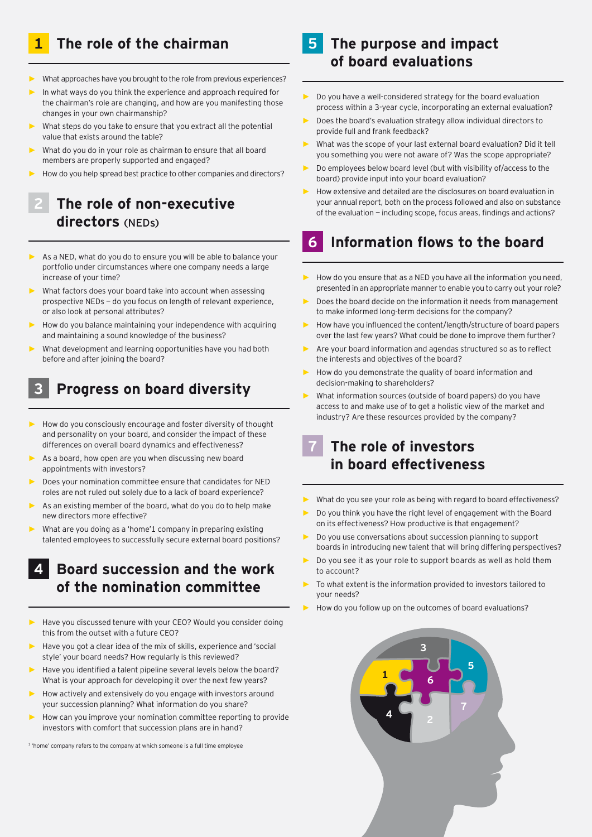# **1 The role of the chairman**

- What approaches have you brought to the role from previous experiences?
- **►** In what ways do you think the experience and approach required for the chairman's role are changing, and how are you manifesting those changes in your own chairmanship?
- What steps do you take to ensure that you extract all the potential value that exists around the table?
- What do you do in your role as chairman to ensure that all board members are properly supported and engaged?
- **►** How do you help spread best practice to other companies and directors?

# **2 The role of non-executive directors** (NEDs)

- As a NED, what do you do to ensure you will be able to balance your portfolio under circumstances where one company needs a large increase of your time?
- What factors does your board take into account when assessing prospective NEDs — do you focus on length of relevant experience, or also look at personal attributes?
- **►** How do you balance maintaining your independence with acquiring and maintaining a sound knowledge of the business?
- **►** What development and learning opportunities have you had both before and after joining the board?

# **3 Progress on board diversity**

- **►** How do you consciously encourage and foster diversity of thought and personality on your board, and consider the impact of these differences on overall board dynamics and effectiveness?
- As a board, how open are you when discussing new board appointments with investors?
- **►** Does your nomination committee ensure that candidates for NED roles are not ruled out solely due to a lack of board experience?
- As an existing member of the board, what do you do to help make new directors more effective?
- **►** What are you doing as a 'home'1 company in preparing existing talented employees to successfully secure external board positions?

## **4 Board succession and the work of the nomination committee**

- **►** Have you discussed tenure with your CEO? Would you consider doing this from the outset with a future CEO?
- **►** Have you got a clear idea of the mix of skills, experience and 'social style' your board needs? How regularly is this reviewed?
- **►** Have you identified a talent pipeline several levels below the board? What is your approach for developing it over the next few years?
- **►** How actively and extensively do you engage with investors around your succession planning? What information do you share?
- **►** How can you improve your nomination committee reporting to provide investors with comfort that succession plans are in hand?

1 'home' company refers to the company at which someone is a full time employee

# **5 The purpose and impact of board evaluations**

- **►** Do you have a well-considered strategy for the board evaluation process within a 3-year cycle, incorporating an external evaluation?
- **►** Does the board's evaluation strategy allow individual directors to provide full and frank feedback?
- What was the scope of your last external board evaluation? Did it tell you something you were not aware of? Was the scope appropriate?
- **►** Do employees below board level (but with visibility of/access to the board) provide input into your board evaluation?
- **►** How extensive and detailed are the disclosures on board evaluation in your annual report, both on the process followed and also on substance of the evaluation — including scope, focus areas, findings and actions?

# **6 Information flows to the board**

- **►** How do you ensure that as a NED you have all the information you need, presented in an appropriate manner to enable you to carry out your role?
- **►** Does the board decide on the information it needs from management to make informed long-term decisions for the company?
- **►** How have you influenced the content/length/structure of board papers over the last few years? What could be done to improve them further?
- **►** Are your board information and agendas structured so as to reflect the interests and objectives of the board?
- **►** How do you demonstrate the quality of board information and decision-making to shareholders?
- **►** What information sources (outside of board papers) do you have access to and make use of to get a holistic view of the market and industry? Are these resources provided by the company?

# **7 The role of investors in board effectiveness**

- **►** What do you see your role as being with regard to board effectiveness?
- **►** Do you think you have the right level of engagement with the Board on its effectiveness? How productive is that engagement?
- **►** Do you use conversations about succession planning to support boards in introducing new talent that will bring differing perspectives?
- **►** Do you see it as your role to support boards as well as hold them to account?
- To what extent is the information provided to investors tailored to your needs?
- **►** How do you follow up on the outcomes of board evaluations?

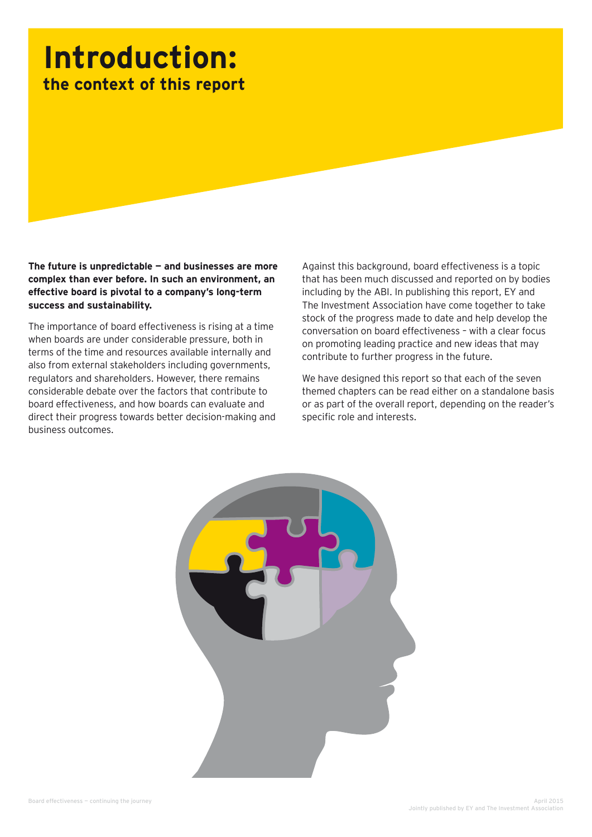# **Introduction: the context of this report**

**The future is unpredictable — and businesses are more complex than ever before. In such an environment, an effective board is pivotal to a company's long-term success and sustainability.** 

The importance of board effectiveness is rising at a time when boards are under considerable pressure, both in terms of the time and resources available internally and also from external stakeholders including governments, regulators and shareholders. However, there remains considerable debate over the factors that contribute to board effectiveness, and how boards can evaluate and direct their progress towards better decision-making and business outcomes.

Against this background, board effectiveness is a topic that has been much discussed and reported on by bodies including by the ABI. In publishing this report, EY and The Investment Association have come together to take stock of the progress made to date and help develop the conversation on board effectiveness – with a clear focus on promoting leading practice and new ideas that may contribute to further progress in the future.

We have designed this report so that each of the seven themed chapters can be read either on a standalone basis or as part of the overall report, depending on the reader's specific role and interests.

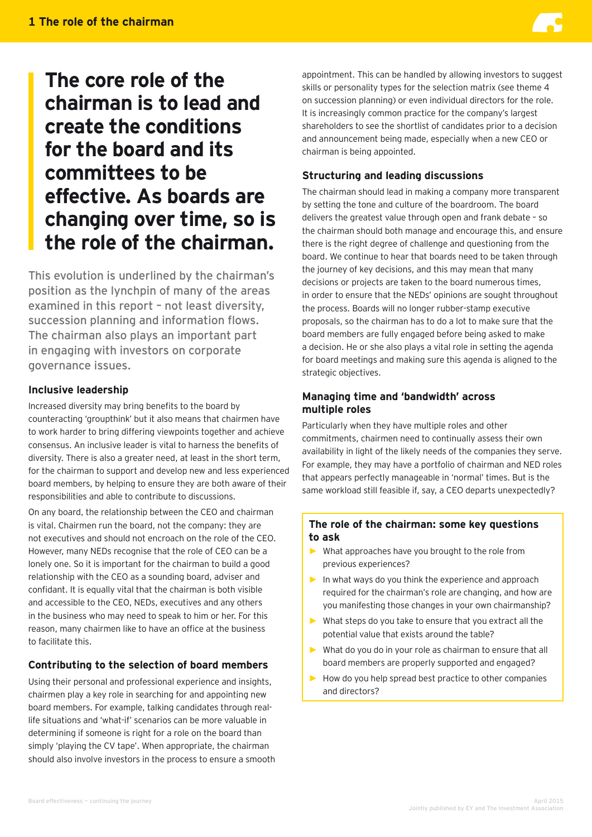# **The core role of the chairman is to lead and create the conditions for the board and its committees to be effective. As boards are changing over time, so is the role of the chairman.**

This evolution is underlined by the chairman's position as the lynchpin of many of the areas examined in this report – not least diversity, succession planning and information flows. The chairman also plays an important part in engaging with investors on corporate governance issues.

#### **Inclusive leadership**

Increased diversity may bring benefits to the board by counteracting 'groupthink' but it also means that chairmen have to work harder to bring differing viewpoints together and achieve consensus. An inclusive leader is vital to harness the benefits of diversity. There is also a greater need, at least in the short term, for the chairman to support and develop new and less experienced board members, by helping to ensure they are both aware of their responsibilities and able to contribute to discussions.

On any board, the relationship between the CEO and chairman is vital. Chairmen run the board, not the company: they are not executives and should not encroach on the role of the CEO. However, many NEDs recognise that the role of CEO can be a lonely one. So it is important for the chairman to build a good relationship with the CEO as a sounding board, adviser and confidant. It is equally vital that the chairman is both visible and accessible to the CEO, NEDs, executives and any others in the business who may need to speak to him or her. For this reason, many chairmen like to have an office at the business to facilitate this.

#### **Contributing to the selection of board members**

Using their personal and professional experience and insights, chairmen play a key role in searching for and appointing new board members. For example, talking candidates through reallife situations and 'what-if' scenarios can be more valuable in determining if someone is right for a role on the board than simply 'playing the CV tape'. When appropriate, the chairman should also involve investors in the process to ensure a smooth appointment. This can be handled by allowing investors to suggest skills or personality types for the selection matrix (see theme 4 on succession planning) or even individual directors for the role. It is increasingly common practice for the company's largest shareholders to see the shortlist of candidates prior to a decision and announcement being made, especially when a new CEO or chairman is being appointed.

#### **Structuring and leading discussions**

The chairman should lead in making a company more transparent by setting the tone and culture of the boardroom. The board delivers the greatest value through open and frank debate – so the chairman should both manage and encourage this, and ensure there is the right degree of challenge and questioning from the board. We continue to hear that boards need to be taken through the journey of key decisions, and this may mean that many decisions or projects are taken to the board numerous times, in order to ensure that the NEDs' opinions are sought throughout the process. Boards will no longer rubber-stamp executive proposals, so the chairman has to do a lot to make sure that the board members are fully engaged before being asked to make a decision. He or she also plays a vital role in setting the agenda for board meetings and making sure this agenda is aligned to the strategic objectives.

#### **Managing time and 'bandwidth' across multiple roles**

Particularly when they have multiple roles and other commitments, chairmen need to continually assess their own availability in light of the likely needs of the companies they serve. For example, they may have a portfolio of chairman and NED roles that appears perfectly manageable in 'normal' times. But is the same workload still feasible if, say, a CEO departs unexpectedly?

#### **The role of the chairman: some key questions to ask**

- **►** What approaches have you brought to the role from previous experiences?
- **►** In what ways do you think the experience and approach required for the chairman's role are changing, and how are you manifesting those changes in your own chairmanship?
- **►** What steps do you take to ensure that you extract all the potential value that exists around the table?
- **►** What do you do in your role as chairman to ensure that all board members are properly supported and engaged?
- **►** How do you help spread best practice to other companies and directors?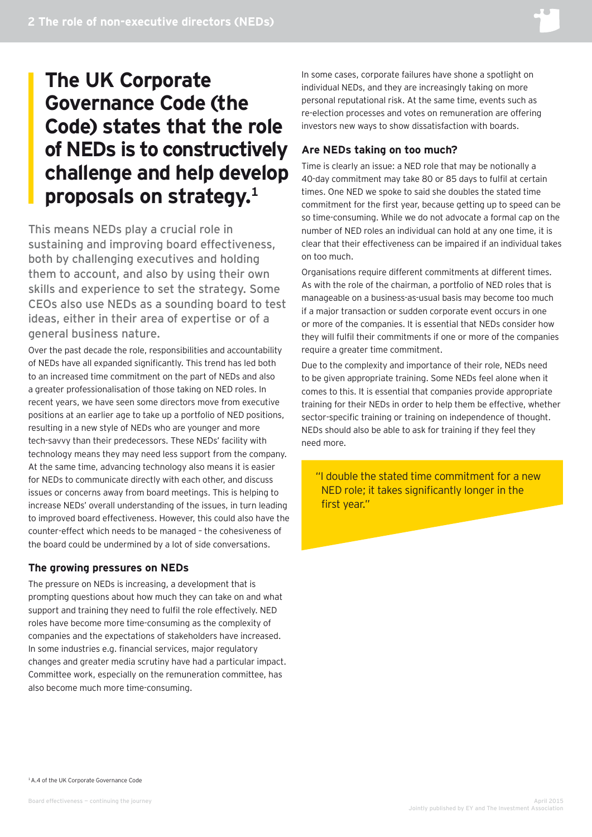# **The UK Corporate Governance Code (the Code) states that the role of NEDs is to constructively challenge and help develop proposals on strategy.1**

This means NEDs play a crucial role in sustaining and improving board effectiveness, both by challenging executives and holding them to account, and also by using their own skills and experience to set the strategy. Some CEOs also use NEDs as a sounding board to test ideas, either in their area of expertise or of a general business nature.

Over the past decade the role, responsibilities and accountability of NEDs have all expanded significantly. This trend has led both to an increased time commitment on the part of NEDs and also a greater professionalisation of those taking on NED roles. In recent years, we have seen some directors move from executive positions at an earlier age to take up a portfolio of NED positions, resulting in a new style of NEDs who are younger and more tech-savvy than their predecessors. These NEDs' facility with technology means they may need less support from the company. At the same time, advancing technology also means it is easier for NEDs to communicate directly with each other, and discuss issues or concerns away from board meetings. This is helping to increase NEDs' overall understanding of the issues, in turn leading to improved board effectiveness. However, this could also have the counter-effect which needs to be managed – the cohesiveness of the board could be undermined by a lot of side conversations.

#### **The growing pressures on NEDs**

The pressure on NEDs is increasing, a development that is prompting questions about how much they can take on and what support and training they need to fulfil the role effectively. NED roles have become more time-consuming as the complexity of companies and the expectations of stakeholders have increased. In some industries e.g. financial services, major regulatory changes and greater media scrutiny have had a particular impact. Committee work, especially on the remuneration committee, has also become much more time-consuming.

In some cases, corporate failures have shone a spotlight on individual NEDs, and they are increasingly taking on more personal reputational risk. At the same time, events such as re-election processes and votes on remuneration are offering investors new ways to show dissatisfaction with boards.

#### **Are NEDs taking on too much?**

Time is clearly an issue: a NED role that may be notionally a 40-day commitment may take 80 or 85 days to fulfil at certain times. One NED we spoke to said she doubles the stated time commitment for the first year, because getting up to speed can be so time-consuming. While we do not advocate a formal cap on the number of NED roles an individual can hold at any one time, it is clear that their effectiveness can be impaired if an individual takes on too much.

Organisations require different commitments at different times. As with the role of the chairman, a portfolio of NED roles that is manageable on a business-as-usual basis may become too much if a major transaction or sudden corporate event occurs in one or more of the companies. It is essential that NEDs consider how they will fulfil their commitments if one or more of the companies require a greater time commitment.

Due to the complexity and importance of their role, NEDs need to be given appropriate training. Some NEDs feel alone when it comes to this. It is essential that companies provide appropriate training for their NEDs in order to help them be effective, whether sector-specific training or training on independence of thought. NEDs should also be able to ask for training if they feel they need more.

"I double the stated time commitment for a new NED role; it takes significantly longer in the first year."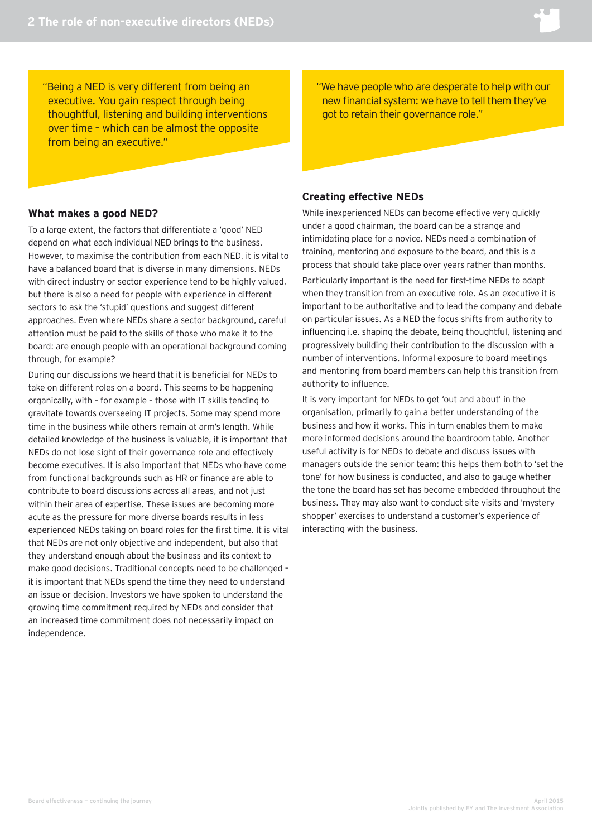"Being a NED is very different from being an executive. You gain respect through being thoughtful, listening and building interventions over time – which can be almost the opposite from being an executive."

#### **What makes a good NED?**

To a large extent, the factors that differentiate a 'good' NED depend on what each individual NED brings to the business. However, to maximise the contribution from each NED, it is vital to have a balanced board that is diverse in many dimensions. NEDs with direct industry or sector experience tend to be highly valued, but there is also a need for people with experience in different sectors to ask the 'stupid' questions and suggest different approaches. Even where NEDs share a sector background, careful attention must be paid to the skills of those who make it to the board: are enough people with an operational background coming through, for example?

During our discussions we heard that it is beneficial for NEDs to take on different roles on a board. This seems to be happening organically, with – for example – those with IT skills tending to gravitate towards overseeing IT projects. Some may spend more time in the business while others remain at arm's length. While detailed knowledge of the business is valuable, it is important that NEDs do not lose sight of their governance role and effectively become executives. It is also important that NEDs who have come from functional backgrounds such as HR or finance are able to contribute to board discussions across all areas, and not just within their area of expertise. These issues are becoming more acute as the pressure for more diverse boards results in less experienced NEDs taking on board roles for the first time. It is vital that NEDs are not only objective and independent, but also that they understand enough about the business and its context to make good decisions. Traditional concepts need to be challenged – it is important that NEDs spend the time they need to understand an issue or decision. Investors we have spoken to understand the growing time commitment required by NEDs and consider that an increased time commitment does not necessarily impact on independence.

"We have people who are desperate to help with our new financial system: we have to tell them they've got to retain their governance role."

#### **Creating effective NEDs**

While inexperienced NEDs can become effective very quickly under a good chairman, the board can be a strange and intimidating place for a novice. NEDs need a combination of training, mentoring and exposure to the board, and this is a process that should take place over years rather than months.

Particularly important is the need for first-time NEDs to adapt when they transition from an executive role. As an executive it is important to be authoritative and to lead the company and debate on particular issues. As a NED the focus shifts from authority to influencing i.e. shaping the debate, being thoughtful, listening and progressively building their contribution to the discussion with a number of interventions. Informal exposure to board meetings and mentoring from board members can help this transition from authority to influence.

It is very important for NEDs to get 'out and about' in the organisation, primarily to gain a better understanding of the business and how it works. This in turn enables them to make more informed decisions around the boardroom table. Another useful activity is for NEDs to debate and discuss issues with managers outside the senior team: this helps them both to 'set the tone' for how business is conducted, and also to gauge whether the tone the board has set has become embedded throughout the business. They may also want to conduct site visits and 'mystery shopper' exercises to understand a customer's experience of interacting with the business.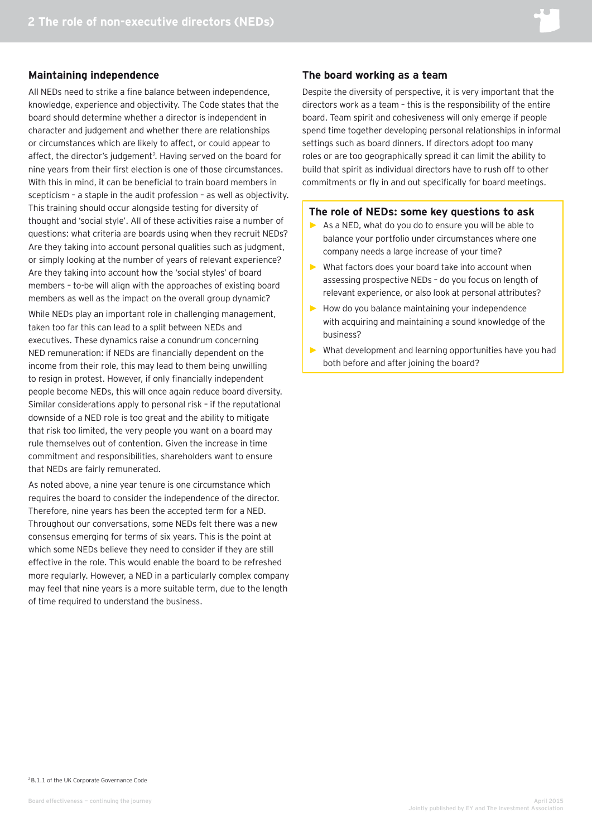#### **Maintaining independence**

All NEDs need to strike a fine balance between independence, knowledge, experience and objectivity. The Code states that the board should determine whether a director is independent in character and judgement and whether there are relationships or circumstances which are likely to affect, or could appear to affect, the director's judgement<sup>2</sup>. Having served on the board for nine years from their first election is one of those circumstances. With this in mind, it can be beneficial to train board members in scepticism – a staple in the audit profession – as well as objectivity. This training should occur alongside testing for diversity of thought and 'social style'. All of these activities raise a number of questions: what criteria are boards using when they recruit NEDs? Are they taking into account personal qualities such as judgment, or simply looking at the number of years of relevant experience? Are they taking into account how the 'social styles' of board members – to-be will align with the approaches of existing board members as well as the impact on the overall group dynamic? While NEDs play an important role in challenging management, taken too far this can lead to a split between NEDs and executives. These dynamics raise a conundrum concerning NED remuneration: if NEDs are financially dependent on the income from their role, this may lead to them being unwilling to resign in protest. However, if only financially independent people become NEDs, this will once again reduce board diversity. Similar considerations apply to personal risk – if the reputational downside of a NED role is too great and the ability to mitigate that risk too limited, the very people you want on a board may rule themselves out of contention. Given the increase in time commitment and responsibilities, shareholders want to ensure that NEDs are fairly remunerated.

As noted above, a nine year tenure is one circumstance which requires the board to consider the independence of the director. Therefore, nine years has been the accepted term for a NED. Throughout our conversations, some NEDs felt there was a new consensus emerging for terms of six years. This is the point at which some NEDs believe they need to consider if they are still effective in the role. This would enable the board to be refreshed more regularly. However, a NED in a particularly complex company may feel that nine years is a more suitable term, due to the length of time required to understand the business.

#### **The board working as a team**

Despite the diversity of perspective, it is very important that the directors work as a team – this is the responsibility of the entire board. Team spirit and cohesiveness will only emerge if people spend time together developing personal relationships in informal settings such as board dinners. If directors adopt too many roles or are too geographically spread it can limit the ability to build that spirit as individual directors have to rush off to other commitments or fly in and out specifically for board meetings.

#### **The role of NEDs: some key questions to ask**

- **►** As a NED, what do you do to ensure you will be able to balance your portfolio under circumstances where one company needs a large increase of your time?
- **►** What factors does your board take into account when assessing prospective NEDs – do you focus on length of relevant experience, or also look at personal attributes?
- **►** How do you balance maintaining your independence with acquiring and maintaining a sound knowledge of the business?
- **►** What development and learning opportunities have you had both before and after joining the board?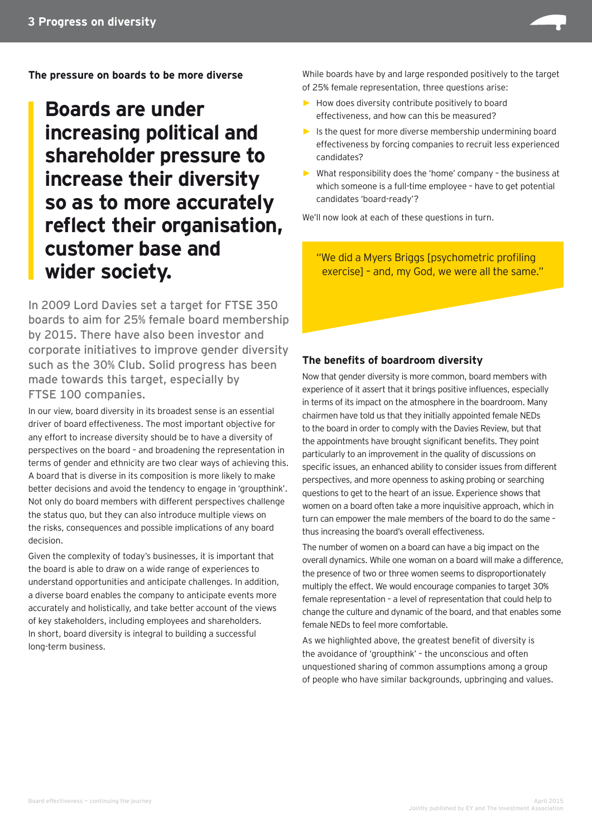

**The pressure on boards to be more diverse**

# **Boards are under increasing political and shareholder pressure to increase their diversity so as to more accurately reflect their organisation, customer base and wider society.**

In 2009 Lord Davies set a target for FTSE 350 boards to aim for 25% female board membership by 2015. There have also been investor and corporate initiatives to improve gender diversity such as the 30% Club. Solid progress has been made towards this target, especially by FTSE 100 companies.

In our view, board diversity in its broadest sense is an essential driver of board effectiveness. The most important objective for any effort to increase diversity should be to have a diversity of perspectives on the board – and broadening the representation in terms of gender and ethnicity are two clear ways of achieving this. A board that is diverse in its composition is more likely to make better decisions and avoid the tendency to engage in 'groupthink'. Not only do board members with different perspectives challenge the status quo, but they can also introduce multiple views on the risks, consequences and possible implications of any board decision.

Given the complexity of today's businesses, it is important that the board is able to draw on a wide range of experiences to understand opportunities and anticipate challenges. In addition, a diverse board enables the company to anticipate events more accurately and holistically, and take better account of the views of key stakeholders, including employees and shareholders. In short, board diversity is integral to building a successful long-term business.

While boards have by and large responded positively to the target of 25% female representation, three questions arise:

- **►** How does diversity contribute positively to board effectiveness, and how can this be measured?
- **►** Is the quest for more diverse membership undermining board effectiveness by forcing companies to recruit less experienced candidates?
- **►** What responsibility does the 'home' company the business at which someone is a full-time employee – have to get potential candidates 'board-ready'?

We'll now look at each of these questions in turn.

"We did a Myers Briggs [psychometric profiling exercise] – and, my God, we were all the same."

#### **The benefits of boardroom diversity**

Now that gender diversity is more common, board members with experience of it assert that it brings positive influences, especially in terms of its impact on the atmosphere in the boardroom. Many chairmen have told us that they initially appointed female NEDs to the board in order to comply with the Davies Review, but that the appointments have brought significant benefits. They point particularly to an improvement in the quality of discussions on specific issues, an enhanced ability to consider issues from different perspectives, and more openness to asking probing or searching questions to get to the heart of an issue. Experience shows that women on a board often take a more inquisitive approach, which in turn can empower the male members of the board to do the same – thus increasing the board's overall effectiveness.

The number of women on a board can have a big impact on the overall dynamics. While one woman on a board will make a difference, the presence of two or three women seems to disproportionately multiply the effect. We would encourage companies to target 30% female representation – a level of representation that could help to change the culture and dynamic of the board, and that enables some female NEDs to feel more comfortable.

As we highlighted above, the greatest benefit of diversity is the avoidance of 'groupthink' – the unconscious and often unquestioned sharing of common assumptions among a group of people who have similar backgrounds, upbringing and values.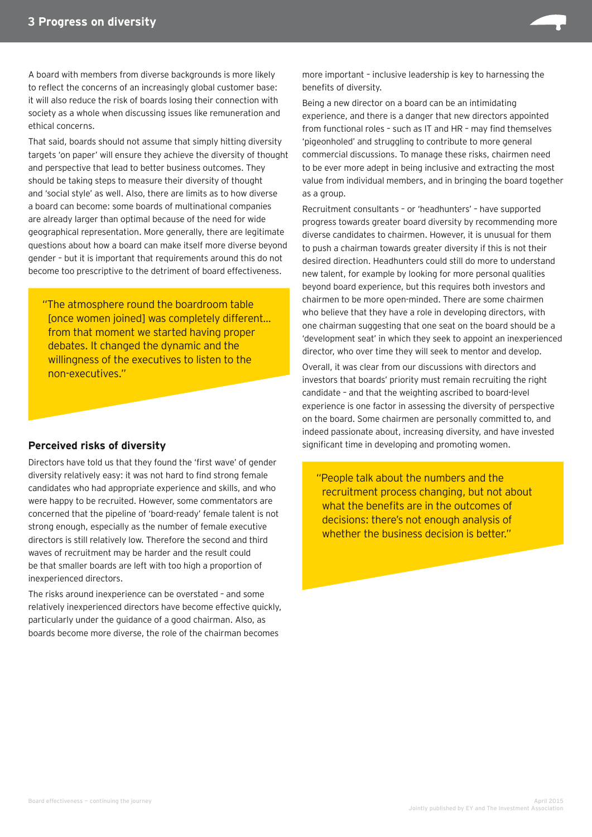

That said, boards should not assume that simply hitting diversity targets 'on paper' will ensure they achieve the diversity of thought and perspective that lead to better business outcomes. They should be taking steps to measure their diversity of thought and 'social style' as well. Also, there are limits as to how diverse a board can become: some boards of multinational companies are already larger than optimal because of the need for wide geographical representation. More generally, there are legitimate questions about how a board can make itself more diverse beyond gender – but it is important that requirements around this do not become too prescriptive to the detriment of board effectiveness.

"The atmosphere round the boardroom table [once women joined] was completely different… from that moment we started having proper debates. It changed the dynamic and the willingness of the executives to listen to the non-executives."

#### **Perceived risks of diversity**

Directors have told us that they found the 'first wave' of gender diversity relatively easy: it was not hard to find strong female candidates who had appropriate experience and skills, and who were happy to be recruited. However, some commentators are concerned that the pipeline of 'board-ready' female talent is not strong enough, especially as the number of female executive directors is still relatively low. Therefore the second and third waves of recruitment may be harder and the result could be that smaller boards are left with too high a proportion of inexperienced directors.

The risks around inexperience can be overstated – and some relatively inexperienced directors have become effective quickly, particularly under the guidance of a good chairman. Also, as boards become more diverse, the role of the chairman becomes

more important – inclusive leadership is key to harnessing the benefits of diversity.

Being a new director on a board can be an intimidating experience, and there is a danger that new directors appointed from functional roles – such as IT and HR – may find themselves 'pigeonholed' and struggling to contribute to more general commercial discussions. To manage these risks, chairmen need to be ever more adept in being inclusive and extracting the most value from individual members, and in bringing the board together as a group.

Recruitment consultants – or 'headhunters' – have supported progress towards greater board diversity by recommending more diverse candidates to chairmen. However, it is unusual for them to push a chairman towards greater diversity if this is not their desired direction. Headhunters could still do more to understand new talent, for example by looking for more personal qualities beyond board experience, but this requires both investors and chairmen to be more open-minded. There are some chairmen who believe that they have a role in developing directors, with one chairman suggesting that one seat on the board should be a 'development seat' in which they seek to appoint an inexperienced director, who over time they will seek to mentor and develop.

Overall, it was clear from our discussions with directors and investors that boards' priority must remain recruiting the right candidate – and that the weighting ascribed to board-level experience is one factor in assessing the diversity of perspective on the board. Some chairmen are personally committed to, and indeed passionate about, increasing diversity, and have invested significant time in developing and promoting women.

"People talk about the numbers and the recruitment process changing, but not about what the benefits are in the outcomes of decisions: there's not enough analysis of whether the business decision is better."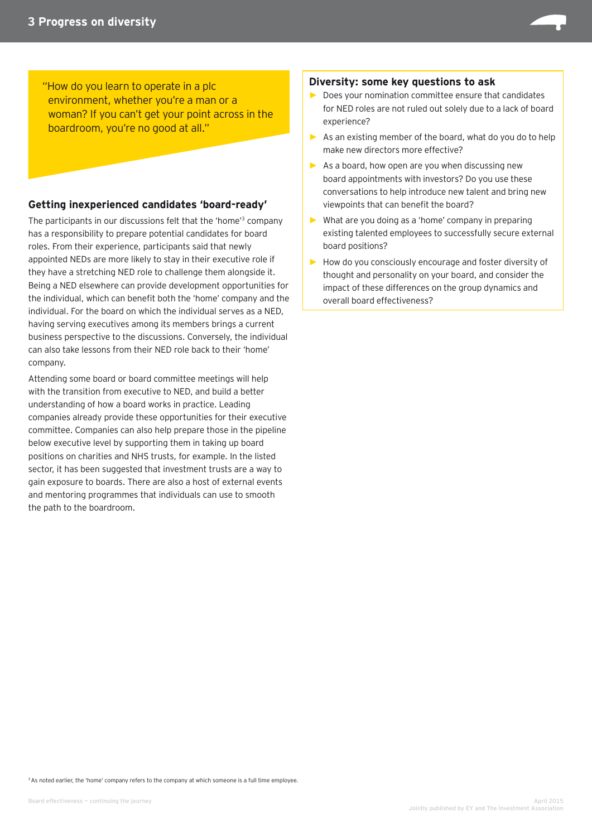"How do you learn to operate in a plc environment, whether you're a man or a woman? If you can't get your point across in the boardroom, you're no good at all."

#### **Getting inexperienced candidates 'board-ready'**

The participants in our discussions felt that the 'home'3 company has a responsibility to prepare potential candidates for board roles. From their experience, participants said that newly appointed NEDs are more likely to stay in their executive role if they have a stretching NED role to challenge them alongside it. Being a NED elsewhere can provide development opportunities for the individual, which can benefit both the 'home' company and the individual. For the board on which the individual serves as a NED, having serving executives among its members brings a current business perspective to the discussions. Conversely, the individual can also take lessons from their NED role back to their 'home' company.

Attending some board or board committee meetings will help with the transition from executive to NED, and build a better understanding of how a board works in practice. Leading companies already provide these opportunities for their executive committee. Companies can also help prepare those in the pipeline below executive level by supporting them in taking up board positions on charities and NHS trusts, for example. In the listed sector, it has been suggested that investment trusts are a way to gain exposure to boards. There are also a host of external events and mentoring programmes that individuals can use to smooth the path to the boardroom.

#### **Diversity: some key questions to ask**

- **►** Does your nomination committee ensure that candidates for NED roles are not ruled out solely due to a lack of board experience?
- **►** As an existing member of the board, what do you do to help make new directors more effective?
- **►** As a board, how open are you when discussing new board appointments with investors? Do you use these conversations to help introduce new talent and bring new viewpoints that can benefit the board?
- **►** What are you doing as a 'home' company in preparing existing talented employees to successfully secure external board positions?
- **►** How do you consciously encourage and foster diversity of thought and personality on your board, and consider the impact of these differences on the group dynamics and overall board effectiveness?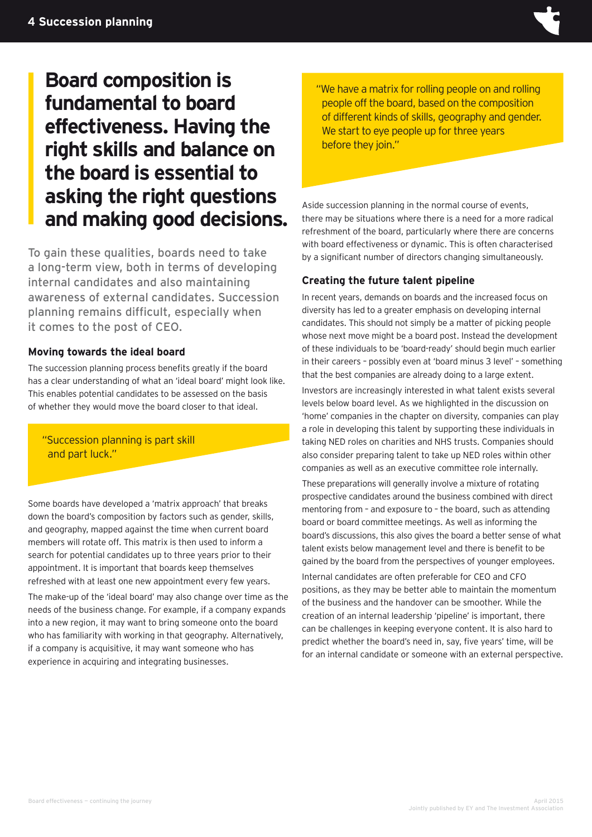

# **Board composition is fundamental to board effectiveness. Having the right skills and balance on the board is essential to asking the right questions and making good decisions.**

To gain these qualities, boards need to take a long-term view, both in terms of developing internal candidates and also maintaining awareness of external candidates. Succession planning remains difficult, especially when it comes to the post of CEO.

#### **Moving towards the ideal board**

The succession planning process benefits greatly if the board has a clear understanding of what an 'ideal board' might look like. This enables potential candidates to be assessed on the basis of whether they would move the board closer to that ideal.

"Succession planning is part skill and part luck."

Some boards have developed a 'matrix approach' that breaks down the board's composition by factors such as gender, skills, and geography, mapped against the time when current board members will rotate off. This matrix is then used to inform a search for potential candidates up to three years prior to their appointment. It is important that boards keep themselves refreshed with at least one new appointment every few years.

The make-up of the 'ideal board' may also change over time as the needs of the business change. For example, if a company expands into a new region, it may want to bring someone onto the board who has familiarity with working in that geography. Alternatively, if a company is acquisitive, it may want someone who has experience in acquiring and integrating businesses.

"We have a matrix for rolling people on and rolling people off the board, based on the composition of different kinds of skills, geography and gender. We start to eye people up for three years before they join."

Aside succession planning in the normal course of events, there may be situations where there is a need for a more radical refreshment of the board, particularly where there are concerns with board effectiveness or dynamic. This is often characterised by a significant number of directors changing simultaneously.

#### **Creating the future talent pipeline**

In recent years, demands on boards and the increased focus on diversity has led to a greater emphasis on developing internal candidates. This should not simply be a matter of picking people whose next move might be a board post. Instead the development of these individuals to be 'board-ready' should begin much earlier in their careers – possibly even at 'board minus 3 level' – something that the best companies are already doing to a large extent.

Investors are increasingly interested in what talent exists several levels below board level. As we highlighted in the discussion on 'home' companies in the chapter on diversity, companies can play a role in developing this talent by supporting these individuals in taking NED roles on charities and NHS trusts. Companies should also consider preparing talent to take up NED roles within other companies as well as an executive committee role internally.

These preparations will generally involve a mixture of rotating prospective candidates around the business combined with direct mentoring from – and exposure to – the board, such as attending board or board committee meetings. As well as informing the board's discussions, this also gives the board a better sense of what talent exists below management level and there is benefit to be gained by the board from the perspectives of younger employees.

Internal candidates are often preferable for CEO and CFO positions, as they may be better able to maintain the momentum of the business and the handover can be smoother. While the creation of an internal leadership 'pipeline' is important, there can be challenges in keeping everyone content. It is also hard to predict whether the board's need in, say, five years' time, will be for an internal candidate or someone with an external perspective.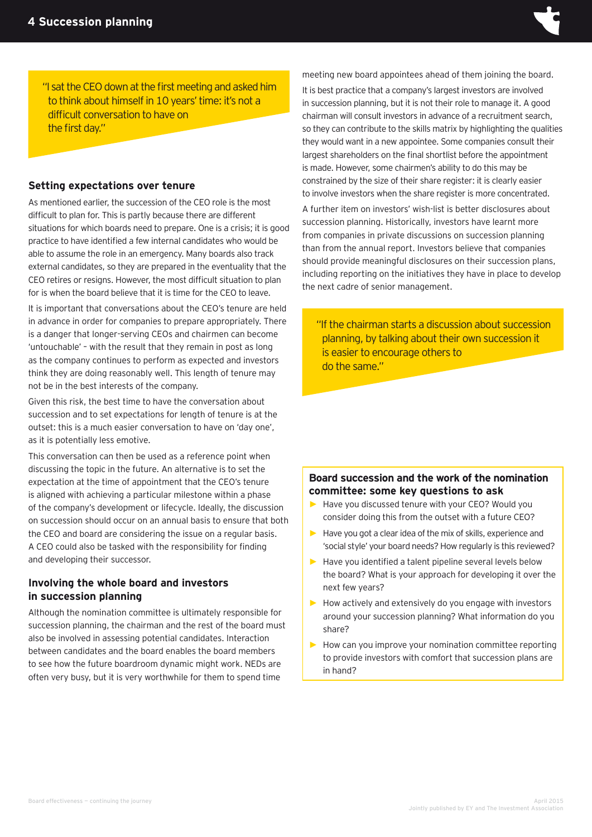

"I sat the CEO down at the first meeting and asked him to think about himself in 10 years' time: it's not a difficult conversation to have on the first day."

#### **Setting expectations over tenure**

As mentioned earlier, the succession of the CEO role is the most difficult to plan for. This is partly because there are different situations for which boards need to prepare. One is a crisis; it is good practice to have identified a few internal candidates who would be able to assume the role in an emergency. Many boards also track external candidates, so they are prepared in the eventuality that the CEO retires or resigns. However, the most difficult situation to plan for is when the board believe that it is time for the CEO to leave.

It is important that conversations about the CEO's tenure are held in advance in order for companies to prepare appropriately. There is a danger that longer-serving CEOs and chairmen can become 'untouchable' – with the result that they remain in post as long as the company continues to perform as expected and investors think they are doing reasonably well. This length of tenure may not be in the best interests of the company.

Given this risk, the best time to have the conversation about succession and to set expectations for length of tenure is at the outset: this is a much easier conversation to have on 'day one', as it is potentially less emotive.

This conversation can then be used as a reference point when discussing the topic in the future. An alternative is to set the expectation at the time of appointment that the CEO's tenure is aligned with achieving a particular milestone within a phase of the company's development or lifecycle. Ideally, the discussion on succession should occur on an annual basis to ensure that both the CEO and board are considering the issue on a regular basis. A CEO could also be tasked with the responsibility for finding and developing their successor.

#### **Involving the whole board and investors in succession planning**

Although the nomination committee is ultimately responsible for succession planning, the chairman and the rest of the board must also be involved in assessing potential candidates. Interaction between candidates and the board enables the board members to see how the future boardroom dynamic might work. NEDs are often very busy, but it is very worthwhile for them to spend time

meeting new board appointees ahead of them joining the board.

It is best practice that a company's largest investors are involved in succession planning, but it is not their role to manage it. A good chairman will consult investors in advance of a recruitment search, so they can contribute to the skills matrix by highlighting the qualities they would want in a new appointee. Some companies consult their largest shareholders on the final shortlist before the appointment is made. However, some chairmen's ability to do this may be constrained by the size of their share register: it is clearly easier to involve investors when the share register is more concentrated.

A further item on investors' wish-list is better disclosures about succession planning. Historically, investors have learnt more from companies in private discussions on succession planning than from the annual report. Investors believe that companies should provide meaningful disclosures on their succession plans, including reporting on the initiatives they have in place to develop the next cadre of senior management.

"If the chairman starts a discussion about succession planning, by talking about their own succession it is easier to encourage others to do the same."

#### **Board succession and the work of the nomination committee: some key questions to ask**

- **►** Have you discussed tenure with your CEO? Would you consider doing this from the outset with a future CEO?
- **►** Have you got a clear idea of the mix of skills, experience and 'social style' your board needs? How regularly is this reviewed?
- **►** Have you identified a talent pipeline several levels below the board? What is your approach for developing it over the next few years?
- **►** How actively and extensively do you engage with investors around your succession planning? What information do you share?
- **►** How can you improve your nomination committee reporting to provide investors with comfort that succession plans are in hand?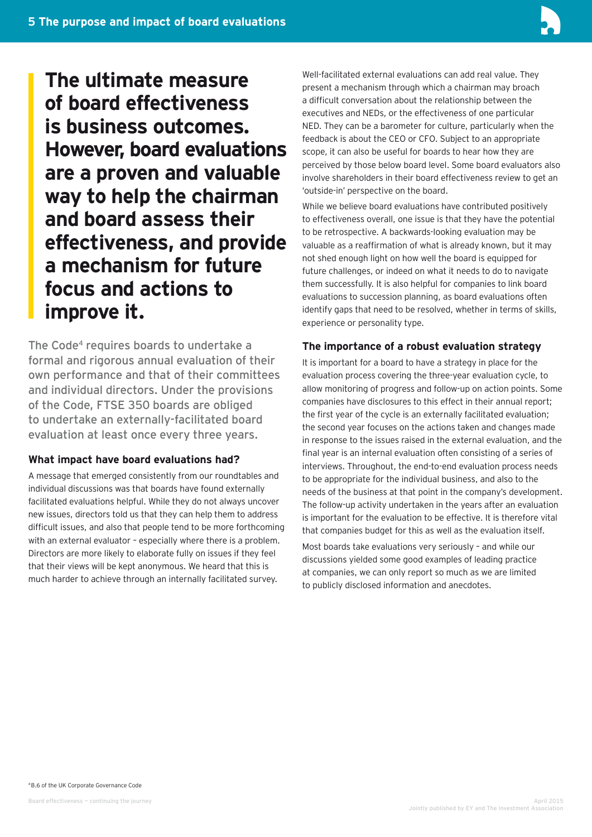

**The ultimate measure of board effectiveness is business outcomes. However, board evaluations are a proven and valuable way to help the chairman and board assess their effectiveness, and provide a mechanism for future focus and actions to improve it.**

The Code<sup>4</sup> requires boards to undertake a formal and rigorous annual evaluation of their own performance and that of their committees and individual directors. Under the provisions of the Code, FTSE 350 boards are obliged to undertake an externally-facilitated board evaluation at least once every three years.

#### **What impact have board evaluations had?**

A message that emerged consistently from our roundtables and individual discussions was that boards have found externally facilitated evaluations helpful. While they do not always uncover new issues, directors told us that they can help them to address difficult issues, and also that people tend to be more forthcoming with an external evaluator – especially where there is a problem. Directors are more likely to elaborate fully on issues if they feel that their views will be kept anonymous. We heard that this is much harder to achieve through an internally facilitated survey.

Well-facilitated external evaluations can add real value. They present a mechanism through which a chairman may broach a difficult conversation about the relationship between the executives and NEDs, or the effectiveness of one particular NED. They can be a barometer for culture, particularly when the feedback is about the CEO or CFO. Subject to an appropriate scope, it can also be useful for boards to hear how they are perceived by those below board level. Some board evaluators also involve shareholders in their board effectiveness review to get an 'outside-in' perspective on the board.

While we believe board evaluations have contributed positively to effectiveness overall, one issue is that they have the potential to be retrospective. A backwards-looking evaluation may be valuable as a reaffirmation of what is already known, but it may not shed enough light on how well the board is equipped for future challenges, or indeed on what it needs to do to navigate them successfully. It is also helpful for companies to link board evaluations to succession planning, as board evaluations often identify gaps that need to be resolved, whether in terms of skills, experience or personality type.

#### **The importance of a robust evaluation strategy**

It is important for a board to have a strategy in place for the evaluation process covering the three-year evaluation cycle, to allow monitoring of progress and follow-up on action points. Some companies have disclosures to this effect in their annual report; the first year of the cycle is an externally facilitated evaluation; the second year focuses on the actions taken and changes made in response to the issues raised in the external evaluation, and the final year is an internal evaluation often consisting of a series of interviews. Throughout, the end-to-end evaluation process needs to be appropriate for the individual business, and also to the needs of the business at that point in the company's development. The follow-up activity undertaken in the years after an evaluation is important for the evaluation to be effective. It is therefore vital that companies budget for this as well as the evaluation itself.

Most boards take evaluations very seriously – and while our discussions yielded some good examples of leading practice at companies, we can only report so much as we are limited to publicly disclosed information and anecdotes.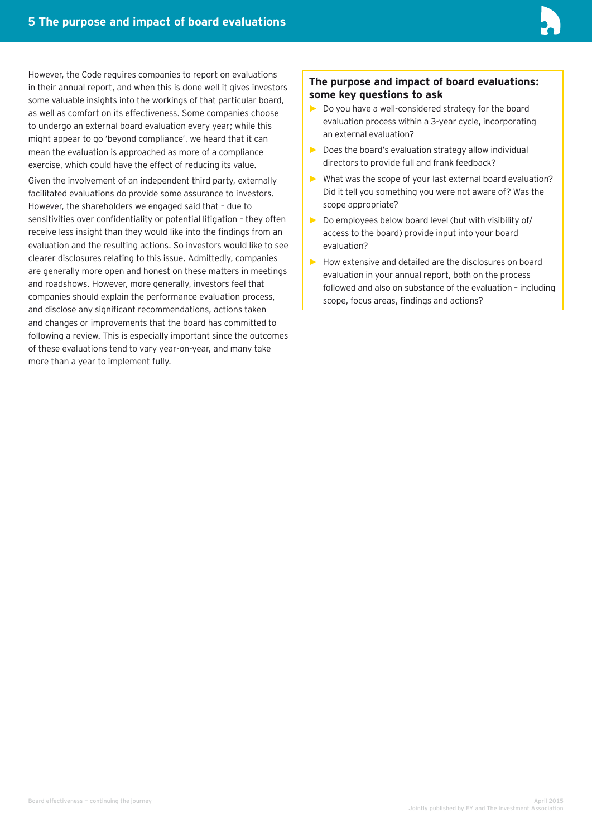

However, the Code requires companies to report on evaluations in their annual report, and when this is done well it gives investors some valuable insights into the workings of that particular board, as well as comfort on its effectiveness. Some companies choose to undergo an external board evaluation every year; while this might appear to go 'beyond compliance', we heard that it can mean the evaluation is approached as more of a compliance exercise, which could have the effect of reducing its value.

Given the involvement of an independent third party, externally facilitated evaluations do provide some assurance to investors. However, the shareholders we engaged said that – due to sensitivities over confidentiality or potential litigation – they often receive less insight than they would like into the findings from an evaluation and the resulting actions. So investors would like to see clearer disclosures relating to this issue. Admittedly, companies are generally more open and honest on these matters in meetings and roadshows. However, more generally, investors feel that companies should explain the performance evaluation process, and disclose any significant recommendations, actions taken and changes or improvements that the board has committed to following a review. This is especially important since the outcomes of these evaluations tend to vary year-on-year, and many take more than a year to implement fully.

#### **The purpose and impact of board evaluations: some key questions to ask**

- **►** Do you have a well-considered strategy for the board evaluation process within a 3-year cycle, incorporating an external evaluation?
- **►** Does the board's evaluation strategy allow individual directors to provide full and frank feedback?
- **►** What was the scope of your last external board evaluation? Did it tell you something you were not aware of? Was the scope appropriate?
- **►** Do employees below board level (but with visibility of/ access to the board) provide input into your board evaluation?
- **►** How extensive and detailed are the disclosures on board evaluation in your annual report, both on the process followed and also on substance of the evaluation – including scope, focus areas, findings and actions?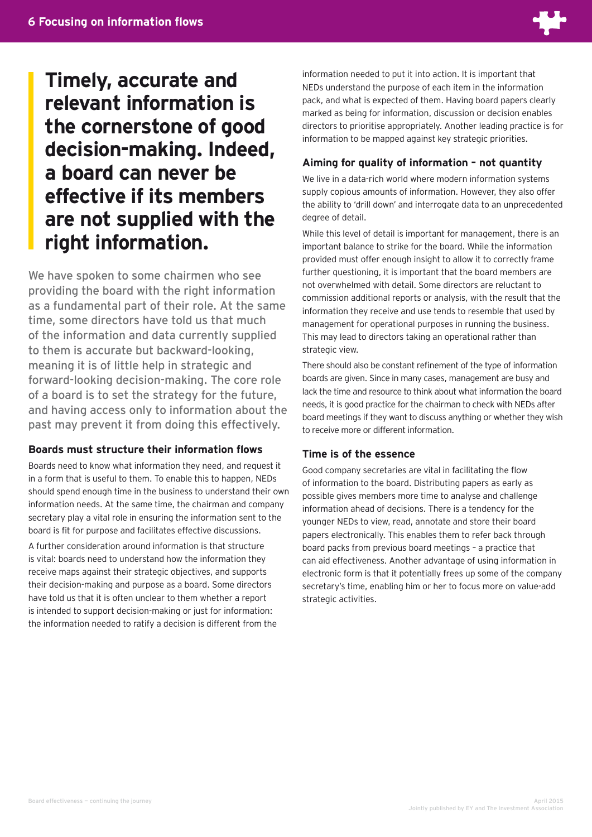

**Timely, accurate and relevant information is the cornerstone of good decision-making. Indeed, a board can never be effective if its members are not supplied with the right information.** 

We have spoken to some chairmen who see providing the board with the right information as a fundamental part of their role. At the same time, some directors have told us that much of the information and data currently supplied to them is accurate but backward-looking, meaning it is of little help in strategic and forward-looking decision-making. The core role of a board is to set the strategy for the future, and having access only to information about the past may prevent it from doing this effectively.

#### **Boards must structure their information flows**

Boards need to know what information they need, and request it in a form that is useful to them. To enable this to happen, NEDs should spend enough time in the business to understand their own information needs. At the same time, the chairman and company secretary play a vital role in ensuring the information sent to the board is fit for purpose and facilitates effective discussions.

A further consideration around information is that structure is vital: boards need to understand how the information they receive maps against their strategic objectives, and supports their decision-making and purpose as a board. Some directors have told us that it is often unclear to them whether a report is intended to support decision-making or just for information: the information needed to ratify a decision is different from the information needed to put it into action. It is important that NEDs understand the purpose of each item in the information pack, and what is expected of them. Having board papers clearly marked as being for information, discussion or decision enables directors to prioritise appropriately. Another leading practice is for information to be mapped against key strategic priorities.

#### **Aiming for quality of information – not quantity**

We live in a data-rich world where modern information systems supply copious amounts of information. However, they also offer the ability to 'drill down' and interrogate data to an unprecedented degree of detail.

While this level of detail is important for management, there is an important balance to strike for the board. While the information provided must offer enough insight to allow it to correctly frame further questioning, it is important that the board members are not overwhelmed with detail. Some directors are reluctant to commission additional reports or analysis, with the result that the information they receive and use tends to resemble that used by management for operational purposes in running the business. This may lead to directors taking an operational rather than strategic view.

There should also be constant refinement of the type of information boards are given. Since in many cases, management are busy and lack the time and resource to think about what information the board needs, it is good practice for the chairman to check with NEDs after board meetings if they want to discuss anything or whether they wish to receive more or different information.

#### **Time is of the essence**

Good company secretaries are vital in facilitating the flow of information to the board. Distributing papers as early as possible gives members more time to analyse and challenge information ahead of decisions. There is a tendency for the younger NEDs to view, read, annotate and store their board papers electronically. This enables them to refer back through board packs from previous board meetings – a practice that can aid effectiveness. Another advantage of using information in electronic form is that it potentially frees up some of the company secretary's time, enabling him or her to focus more on value-add strategic activities.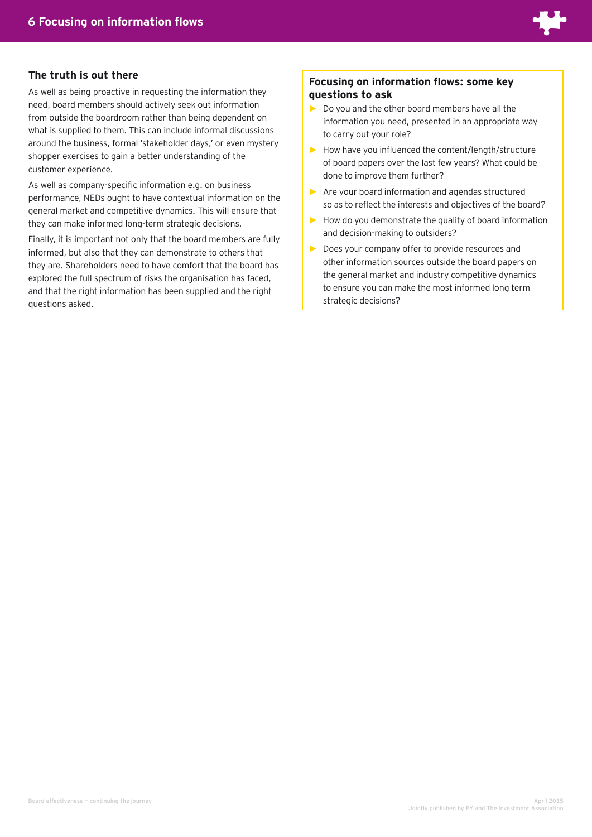

#### **The truth is out there**

As well as being proactive in requesting the information they need, board members should actively seek out information from outside the boardroom rather than being dependent on what is supplied to them. This can include informal discussions around the business, formal 'stakeholder days,' or even mystery shopper exercises to gain a better understanding of the customer experience.

As well as company-specific information e.g. on business performance, NEDs ought to have contextual information on the general market and competitive dynamics. This will ensure that they can make informed long-term strategic decisions.

Finally, it is important not only that the board members are fully informed, but also that they can demonstrate to others that they are. Shareholders need to have comfort that the board has explored the full spectrum of risks the organisation has faced, and that the right information has been supplied and the right questions asked.

#### **Focusing on information flows: some key questions to ask**

- **►** Do you and the other board members have all the information you need, presented in an appropriate way to carry out your role?
- **►** How have you influenced the content/length/structure of board papers over the last few years? What could be done to improve them further?
- **►** Are your board information and agendas structured so as to reflect the interests and objectives of the board?
- **►** How do you demonstrate the quality of board information and decision-making to outsiders?
- **►** Does your company offer to provide resources and other information sources outside the board papers on the general market and industry competitive dynamics to ensure you can make the most informed long term strategic decisions?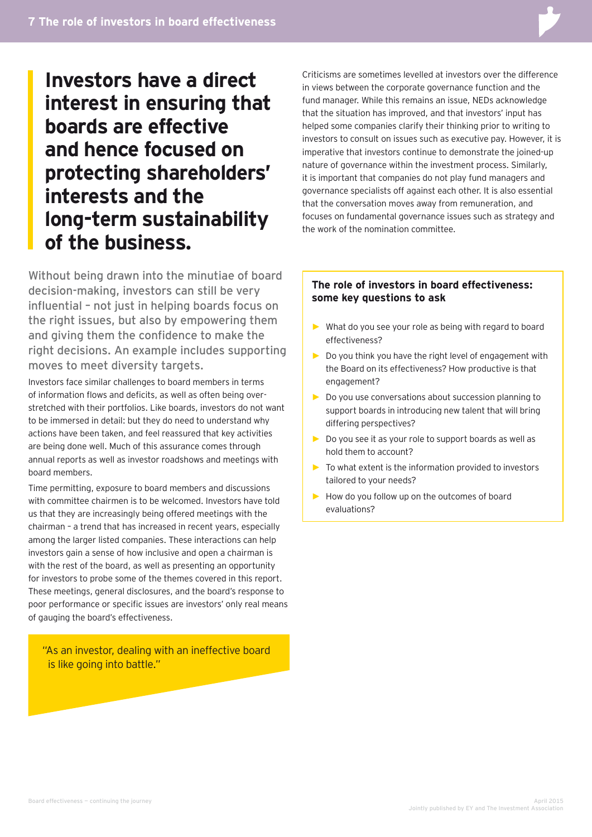**Investors have a direct interest in ensuring that boards are effective and hence focused on protecting shareholders' interests and the long-term sustainability of the business.**

Without being drawn into the minutiae of board decision-making, investors can still be very influential – not just in helping boards focus on the right issues, but also by empowering them and giving them the confidence to make the right decisions. An example includes supporting moves to meet diversity targets.

Investors face similar challenges to board members in terms of information flows and deficits, as well as often being overstretched with their portfolios. Like boards, investors do not want to be immersed in detail: but they do need to understand why actions have been taken, and feel reassured that key activities are being done well. Much of this assurance comes through annual reports as well as investor roadshows and meetings with board members.

Time permitting, exposure to board members and discussions with committee chairmen is to be welcomed. Investors have told us that they are increasingly being offered meetings with the chairman – a trend that has increased in recent years, especially among the larger listed companies. These interactions can help investors gain a sense of how inclusive and open a chairman is with the rest of the board, as well as presenting an opportunity for investors to probe some of the themes covered in this report. These meetings, general disclosures, and the board's response to poor performance or specific issues are investors' only real means of gauging the board's effectiveness.

"As an investor, dealing with an ineffective board is like going into battle."

Criticisms are sometimes levelled at investors over the difference in views between the corporate governance function and the fund manager. While this remains an issue, NEDs acknowledge that the situation has improved, and that investors' input has helped some companies clarify their thinking prior to writing to investors to consult on issues such as executive pay. However, it is imperative that investors continue to demonstrate the joined-up nature of governance within the investment process. Similarly, it is important that companies do not play fund managers and governance specialists off against each other. It is also essential that the conversation moves away from remuneration, and focuses on fundamental governance issues such as strategy and the work of the nomination committee.

#### **The role of investors in board effectiveness: some key questions to ask**

- **►** What do you see your role as being with regard to board effectiveness?
- **►** Do you think you have the right level of engagement with the Board on its effectiveness? How productive is that engagement?
- **►** Do you use conversations about succession planning to support boards in introducing new talent that will bring differing perspectives?
- **►** Do you see it as your role to support boards as well as hold them to account?
- **►** To what extent is the information provided to investors tailored to your needs?
- **►** How do you follow up on the outcomes of board evaluations?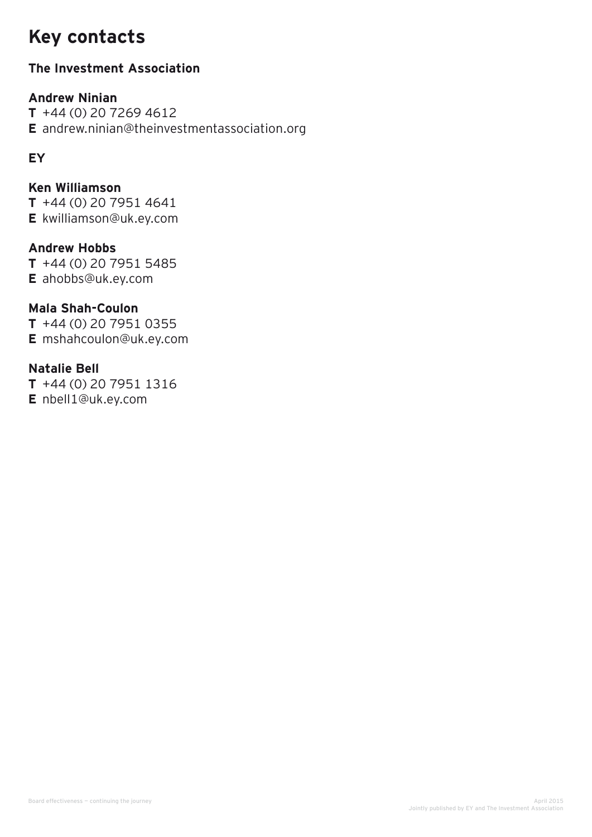# **Key contacts**

## **The Investment Association**

## **Andrew Ninian**

**T** +44 (0) 20 7269 4612 **E** andrew.ninian@theinvestmentassociation.org

## **EY**

## **Ken Williamson**

**T** +44 (0) 20 7951 4641 **E** kwilliamson@uk.ey.com

## **Andrew Hobbs**

**T** +44 (0) 20 7951 5485 **E** ahobbs@uk.ey.com

## **Mala Shah-Coulon**

**T** +44 (0) 20 7951 0355 **E** mshahcoulon@uk.ey.com

### **Natalie Bell**

**T** +44 (0) 20 7951 1316 **E** nbell1@uk.ey.com